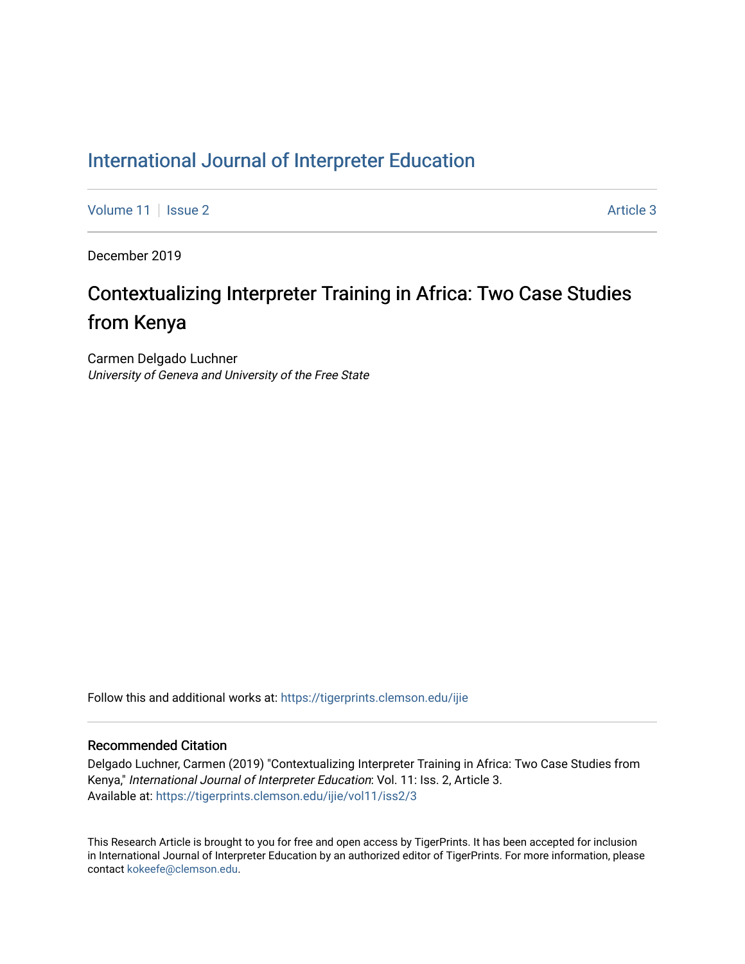# [International Journal of Interpreter Education](https://tigerprints.clemson.edu/ijie)

[Volume 11](https://tigerprints.clemson.edu/ijie/vol11) | [Issue 2](https://tigerprints.clemson.edu/ijie/vol11/iss2) Article 3

December 2019

# Contextualizing Interpreter Training in Africa: Two Case Studies from Kenya

Carmen Delgado Luchner University of Geneva and University of the Free State

Follow this and additional works at: [https://tigerprints.clemson.edu/ijie](https://tigerprints.clemson.edu/ijie?utm_source=tigerprints.clemson.edu%2Fijie%2Fvol11%2Fiss2%2F3&utm_medium=PDF&utm_campaign=PDFCoverPages) 

# Recommended Citation

Delgado Luchner, Carmen (2019) "Contextualizing Interpreter Training in Africa: Two Case Studies from Kenya," International Journal of Interpreter Education: Vol. 11: Iss. 2, Article 3. Available at: [https://tigerprints.clemson.edu/ijie/vol11/iss2/3](https://tigerprints.clemson.edu/ijie/vol11/iss2/3?utm_source=tigerprints.clemson.edu%2Fijie%2Fvol11%2Fiss2%2F3&utm_medium=PDF&utm_campaign=PDFCoverPages) 

This Research Article is brought to you for free and open access by TigerPrints. It has been accepted for inclusion in International Journal of Interpreter Education by an authorized editor of TigerPrints. For more information, please contact [kokeefe@clemson.edu.](mailto:kokeefe@clemson.edu)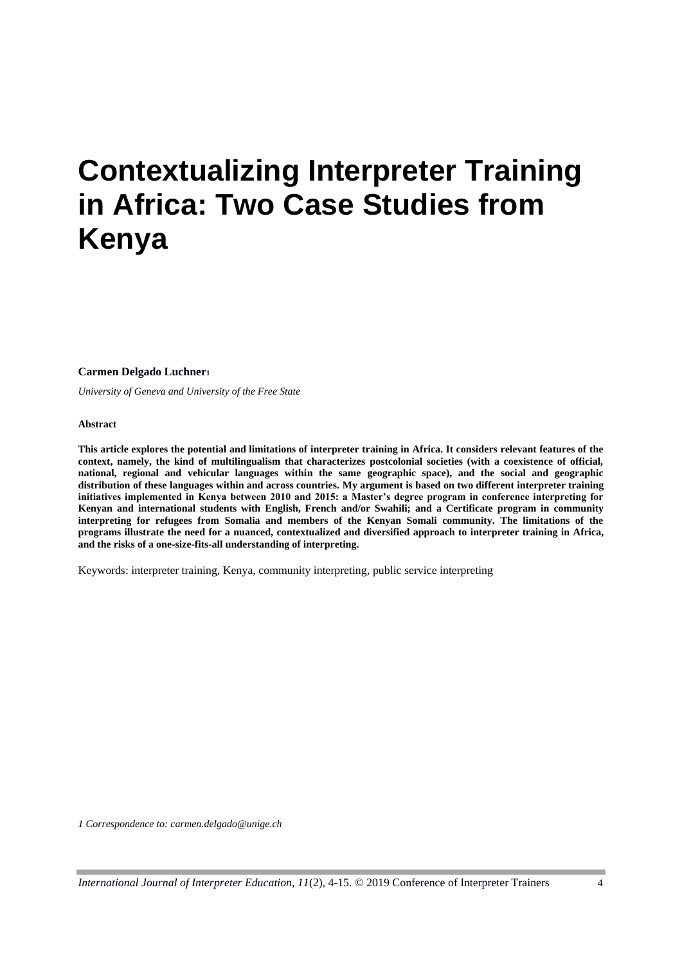# **Contextualizing Interpreter Training in Africa: Two Case Studies from Kenya**

**Carmen Delgado Luchner<sup>1</sup>**

*University of Geneva and University of the Free State*

**Abstract**

**This article explores the potential and limitations of interpreter training in Africa. It considers relevant features of the context, namely, the kind of multilingualism that characterizes postcolonial societies (with a coexistence of official, national, regional and vehicular languages within the same geographic space), and the social and geographic distribution of these languages within and across countries. My argument is based on two different interpreter training initiatives implemented in Kenya between 2010 and 2015: a Master's degree program in conference interpreting for Kenyan and international students with English, French and/or Swahili; and a Certificate program in community interpreting for refugees from Somalia and members of the Kenyan Somali community. The limitations of the programs illustrate the need for a nuanced, contextualized and diversified approach to interpreter training in Africa, and the risks of a one-size-fits-all understanding of interpreting.**

Keywords: interpreter training, Kenya, community interpreting, public service interpreting

*1 Correspondence to: carmen.delgado@unige.ch*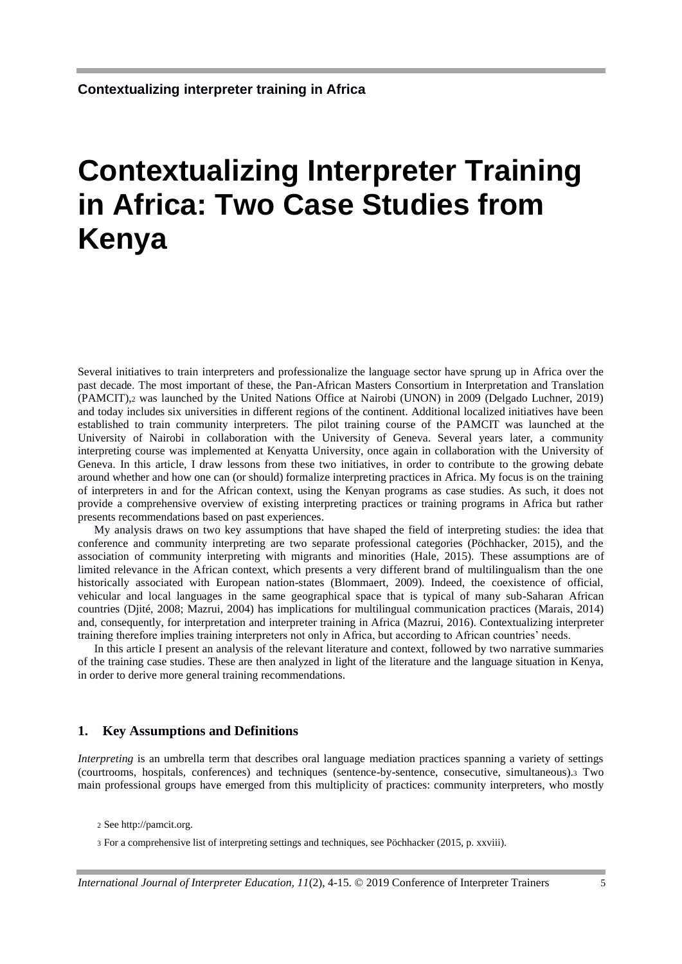# **Contextualizing Interpreter Training in Africa: Two Case Studies from Kenya**

Several initiatives to train interpreters and professionalize the language sector have sprung up in Africa over the past decade. The most important of these, the Pan-African Masters Consortium in Interpretation and Translation (PAMCIT),<sup>2</sup> was launched by the United Nations Office at Nairobi (UNON) in 2009 (Delgado Luchner, 2019) and today includes six universities in different regions of the continent. Additional localized initiatives have been established to train community interpreters. The pilot training course of the PAMCIT was launched at the University of Nairobi in collaboration with the University of Geneva. Several years later, a community interpreting course was implemented at Kenyatta University, once again in collaboration with the University of Geneva. In this article, I draw lessons from these two initiatives, in order to contribute to the growing debate around whether and how one can (or should) formalize interpreting practices in Africa. My focus is on the training of interpreters in and for the African context, using the Kenyan programs as case studies. As such, it does not provide a comprehensive overview of existing interpreting practices or training programs in Africa but rather presents recommendations based on past experiences.

My analysis draws on two key assumptions that have shaped the field of interpreting studies: the idea that conference and community interpreting are two separate professional categories (Pöchhacker, 2015), and the association of community interpreting with migrants and minorities (Hale, 2015). These assumptions are of limited relevance in the African context, which presents a very different brand of multilingualism than the one historically associated with European nation-states (Blommaert, 2009). Indeed, the coexistence of official, vehicular and local languages in the same geographical space that is typical of many sub-Saharan African countries (Djité, 2008; Mazrui, 2004) has implications for multilingual communication practices (Marais, 2014) and, consequently, for interpretation and interpreter training in Africa (Mazrui, 2016). Contextualizing interpreter training therefore implies training interpreters not only in Africa, but according to African countries' needs.

In this article I present an analysis of the relevant literature and context, followed by two narrative summaries of the training case studies. These are then analyzed in light of the literature and the language situation in Kenya, in order to derive more general training recommendations.

#### **1. Key Assumptions and Definitions**

*Interpreting* is an umbrella term that describes oral language mediation practices spanning a variety of settings (courtrooms, hospitals, conferences) and techniques (sentence-by-sentence, consecutive, simultaneous).<sup>3</sup> Two main professional groups have emerged from this multiplicity of practices: community interpreters, who mostly

<sup>2</sup> See http://pamcit.org.

<sup>3</sup> For a comprehensive list of interpreting settings and techniques, see Pöchhacker (2015, p. xxviii).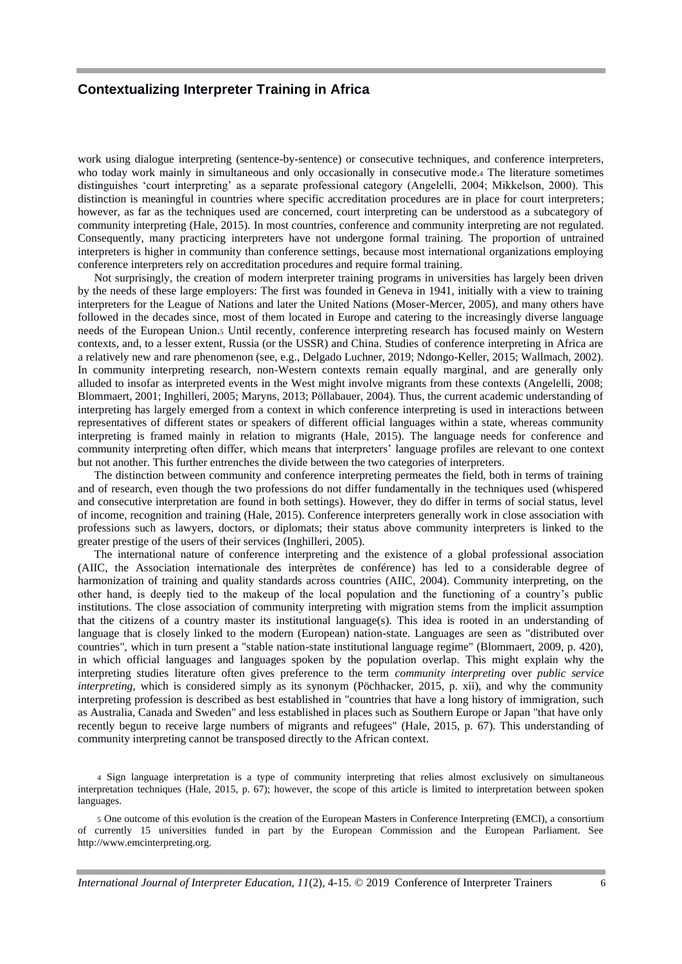work using dialogue interpreting (sentence-by-sentence) or consecutive techniques, and conference interpreters, who today work mainly in simultaneous and only occasionally in consecutive mode.<sup>4</sup> The literature sometimes distinguishes 'court interpreting' as a separate professional category (Angelelli, 2004; Mikkelson, 2000). This distinction is meaningful in countries where specific accreditation procedures are in place for court interpreters; however, as far as the techniques used are concerned, court interpreting can be understood as a subcategory of community interpreting (Hale, 2015). In most countries, conference and community interpreting are not regulated. Consequently, many practicing interpreters have not undergone formal training. The proportion of untrained interpreters is higher in community than conference settings, because most international organizations employing conference interpreters rely on accreditation procedures and require formal training.

Not surprisingly, the creation of modern interpreter training programs in universities has largely been driven by the needs of these large employers: The first was founded in Geneva in 1941, initially with a view to training interpreters for the League of Nations and later the United Nations (Moser-Mercer, 2005), and many others have followed in the decades since, most of them located in Europe and catering to the increasingly diverse language needs of the European Union.<sup>5</sup> Until recently, conference interpreting research has focused mainly on Western contexts, and, to a lesser extent, Russia (or the USSR) and China. Studies of conference interpreting in Africa are a relatively new and rare phenomenon (see, e.g., Delgado Luchner, 2019; Ndongo-Keller, 2015; Wallmach, 2002). In community interpreting research, non-Western contexts remain equally marginal, and are generally only alluded to insofar as interpreted events in the West might involve migrants from these contexts (Angelelli, 2008; Blommaert, 2001; Inghilleri, 2005; Maryns, 2013; Pöllabauer, 2004). Thus, the current academic understanding of interpreting has largely emerged from a context in which conference interpreting is used in interactions between representatives of different states or speakers of different official languages within a state, whereas community interpreting is framed mainly in relation to migrants (Hale, 2015). The language needs for conference and community interpreting often differ, which means that interpreters' language profiles are relevant to one context but not another. This further entrenches the divide between the two categories of interpreters.

The distinction between community and conference interpreting permeates the field, both in terms of training and of research, even though the two professions do not differ fundamentally in the techniques used (whispered and consecutive interpretation are found in both settings). However, they do differ in terms of social status, level of income, recognition and training (Hale, 2015). Conference interpreters generally work in close association with professions such as lawyers, doctors, or diplomats; their status above community interpreters is linked to the greater prestige of the users of their services (Inghilleri, 2005).

The international nature of conference interpreting and the existence of a global professional association (AIIC, the Association internationale des interprètes de conférence) has led to a considerable degree of harmonization of training and quality standards across countries (AIIC, 2004). Community interpreting, on the other hand, is deeply tied to the makeup of the local population and the functioning of a country's public institutions. The close association of community interpreting with migration stems from the implicit assumption that the citizens of a country master its institutional language(s). This idea is rooted in an understanding of language that is closely linked to the modern (European) nation-state. Languages are seen as "distributed over countries", which in turn present a "stable nation-state institutional language regime" (Blommaert, 2009, p. 420), in which official languages and languages spoken by the population overlap. This might explain why the interpreting studies literature often gives preference to the term *community interpreting* over *public service interpreting,* which is considered simply as its synonym (Pöchhacker, 2015, p. xii), and why the community interpreting profession is described as best established in "countries that have a long history of immigration, such as Australia, Canada and Sweden" and less established in places such as Southern Europe or Japan "that have only recently begun to receive large numbers of migrants and refugees" (Hale, 2015, p. 67). This understanding of community interpreting cannot be transposed directly to the African context.

4 Sign language interpretation is a type of community interpreting that relies almost exclusively on simultaneous interpretation techniques (Hale, 2015, p. 67); however, the scope of this article is limited to interpretation between spoken languages.

5 One outcome of this evolution is the creation of the European Masters in Conference Interpreting (EMCI), a consortium of currently 15 universities funded in part by the European Commission and the European Parliament. See http://www.emcinterpreting.org.

*International Journal of Interpreter Education, 11*(2), 4-15. © 2019 Conference of Interpreter Trainers 6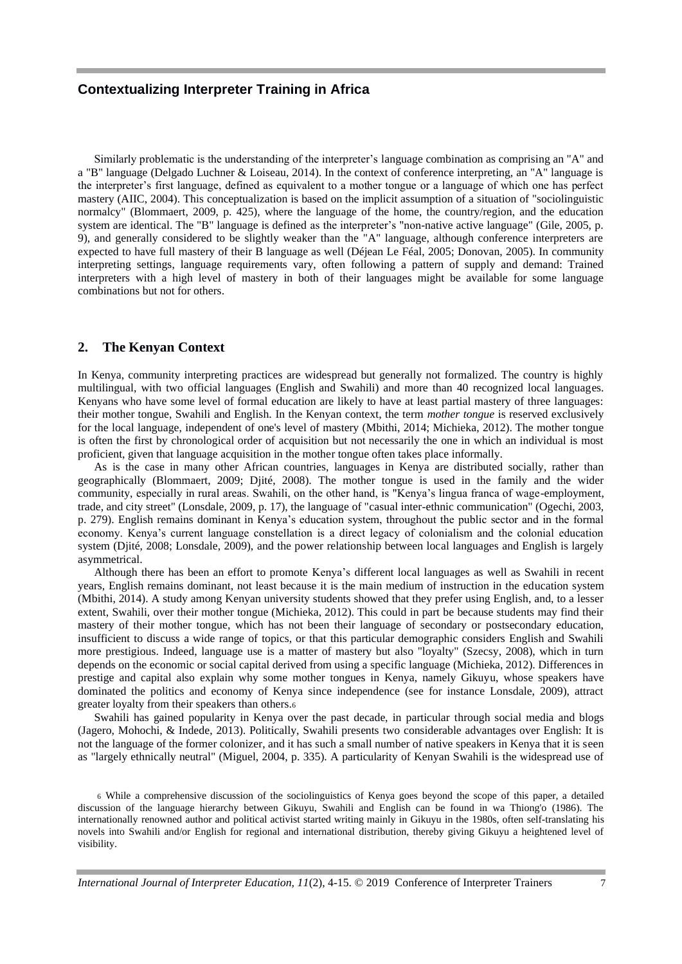Similarly problematic is the understanding of the interpreter's language combination as comprising an "A" and a "B" language (Delgado Luchner & Loiseau, 2014). In the context of conference interpreting, an "A" language is the interpreter's first language, defined as equivalent to a mother tongue or a language of which one has perfect mastery (AIIC, 2004). This conceptualization is based on the implicit assumption of a situation of "sociolinguistic normalcy" (Blommaert, 2009, p. 425), where the language of the home, the country/region, and the education system are identical. The "B" language is defined as the interpreter's "non-native active language" (Gile, 2005, p. 9), and generally considered to be slightly weaker than the "A" language, although conference interpreters are expected to have full mastery of their B language as well (Déjean Le Féal, 2005; Donovan, 2005). In community interpreting settings, language requirements vary, often following a pattern of supply and demand: Trained interpreters with a high level of mastery in both of their languages might be available for some language combinations but not for others.

#### **2. The Kenyan Context**

In Kenya, community interpreting practices are widespread but generally not formalized. The country is highly multilingual, with two official languages (English and Swahili) and more than 40 recognized local languages. Kenyans who have some level of formal education are likely to have at least partial mastery of three languages: their mother tongue, Swahili and English. In the Kenyan context, the term *mother tongue* is reserved exclusively for the local language, independent of one's level of mastery (Mbithi, 2014; Michieka, 2012). The mother tongue is often the first by chronological order of acquisition but not necessarily the one in which an individual is most proficient, given that language acquisition in the mother tongue often takes place informally.

As is the case in many other African countries, languages in Kenya are distributed socially, rather than geographically (Blommaert, 2009; Djité, 2008). The mother tongue is used in the family and the wider community, especially in rural areas. Swahili, on the other hand, is "Kenya's lingua franca of wage-employment, trade, and city street" (Lonsdale, 2009, p. 17), the language of "casual inter-ethnic communication" (Ogechi, 2003, p. 279). English remains dominant in Kenya's education system, throughout the public sector and in the formal economy. Kenya's current language constellation is a direct legacy of colonialism and the colonial education system (Djité, 2008; Lonsdale, 2009), and the power relationship between local languages and English is largely asymmetrical.

Although there has been an effort to promote Kenya's different local languages as well as Swahili in recent years, English remains dominant, not least because it is the main medium of instruction in the education system (Mbithi, 2014). A study among Kenyan university students showed that they prefer using English, and, to a lesser extent, Swahili, over their mother tongue (Michieka, 2012). This could in part be because students may find their mastery of their mother tongue, which has not been their language of secondary or postsecondary education, insufficient to discuss a wide range of topics, or that this particular demographic considers English and Swahili more prestigious. Indeed, language use is a matter of mastery but also "loyalty" (Szecsy, 2008), which in turn depends on the economic or social capital derived from using a specific language (Michieka, 2012). Differences in prestige and capital also explain why some mother tongues in Kenya, namely Gikuyu, whose speakers have dominated the politics and economy of Kenya since independence (see for instance Lonsdale, 2009), attract greater loyalty from their speakers than others.<sup>6</sup>

Swahili has gained popularity in Kenya over the past decade, in particular through social media and blogs (Jagero, Mohochi, & Indede, 2013). Politically, Swahili presents two considerable advantages over English: It is not the language of the former colonizer, and it has such a small number of native speakers in Kenya that it is seen as "largely ethnically neutral" (Miguel, 2004, p. 335). A particularity of Kenyan Swahili is the widespread use of

6 While a comprehensive discussion of the sociolinguistics of Kenya goes beyond the scope of this paper, a detailed discussion of the language hierarchy between Gikuyu, Swahili and English can be found in wa Thiong'o (1986). The internationally renowned author and political activist started writing mainly in Gikuyu in the 1980s, often self-translating his novels into Swahili and/or English for regional and international distribution, thereby giving Gikuyu a heightened level of visibility.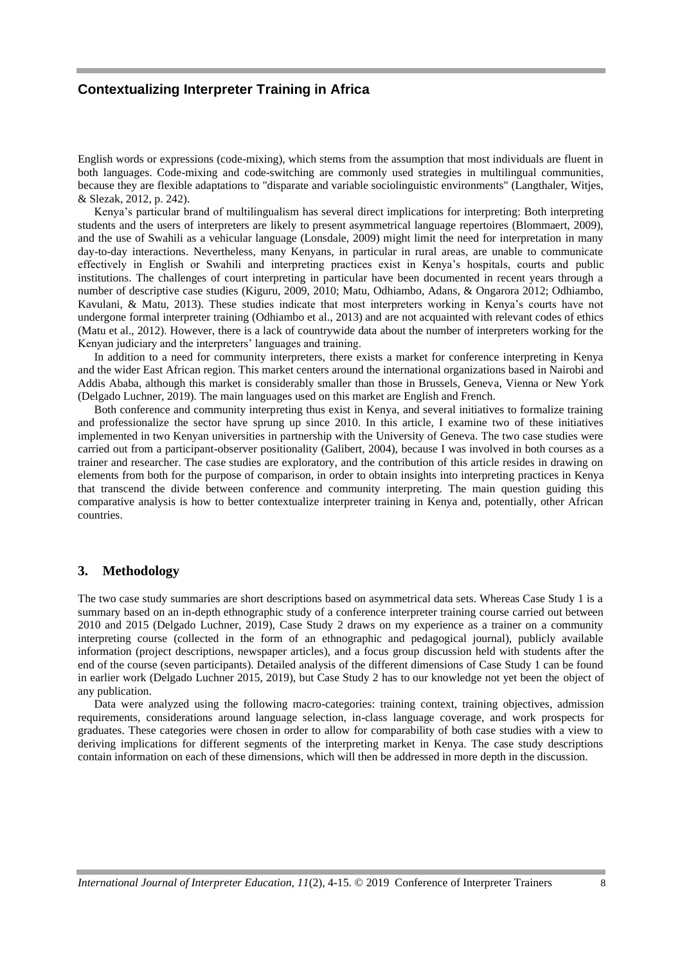English words or expressions (code-mixing), which stems from the assumption that most individuals are fluent in both languages. Code-mixing and code-switching are commonly used strategies in multilingual communities, because they are flexible adaptations to "disparate and variable sociolinguistic environments" (Langthaler, Witjes, & Slezak, 2012, p. 242).

Kenya's particular brand of multilingualism has several direct implications for interpreting: Both interpreting students and the users of interpreters are likely to present asymmetrical language repertoires (Blommaert, 2009), and the use of Swahili as a vehicular language (Lonsdale, 2009) might limit the need for interpretation in many day-to-day interactions. Nevertheless, many Kenyans, in particular in rural areas, are unable to communicate effectively in English or Swahili and interpreting practices exist in Kenya's hospitals, courts and public institutions. The challenges of court interpreting in particular have been documented in recent years through a number of descriptive case studies (Kiguru, 2009, 2010; Matu, Odhiambo, Adans, & Ongarora 2012; Odhiambo, Kavulani, & Matu, 2013). These studies indicate that most interpreters working in Kenya's courts have not undergone formal interpreter training (Odhiambo et al., 2013) and are not acquainted with relevant codes of ethics (Matu et al., 2012). However, there is a lack of countrywide data about the number of interpreters working for the Kenyan judiciary and the interpreters' languages and training.

In addition to a need for community interpreters, there exists a market for conference interpreting in Kenya and the wider East African region. This market centers around the international organizations based in Nairobi and Addis Ababa, although this market is considerably smaller than those in Brussels, Geneva, Vienna or New York (Delgado Luchner, 2019). The main languages used on this market are English and French.

Both conference and community interpreting thus exist in Kenya, and several initiatives to formalize training and professionalize the sector have sprung up since 2010. In this article, I examine two of these initiatives implemented in two Kenyan universities in partnership with the University of Geneva. The two case studies were carried out from a participant-observer positionality (Galibert, 2004), because I was involved in both courses as a trainer and researcher. The case studies are exploratory, and the contribution of this article resides in drawing on elements from both for the purpose of comparison, in order to obtain insights into interpreting practices in Kenya that transcend the divide between conference and community interpreting. The main question guiding this comparative analysis is how to better contextualize interpreter training in Kenya and, potentially, other African countries.

#### **3. Methodology**

The two case study summaries are short descriptions based on asymmetrical data sets. Whereas Case Study 1 is a summary based on an in-depth ethnographic study of a conference interpreter training course carried out between 2010 and 2015 (Delgado Luchner, 2019), Case Study 2 draws on my experience as a trainer on a community interpreting course (collected in the form of an ethnographic and pedagogical journal), publicly available information (project descriptions, newspaper articles), and a focus group discussion held with students after the end of the course (seven participants). Detailed analysis of the different dimensions of Case Study 1 can be found in earlier work (Delgado Luchner 2015, 2019), but Case Study 2 has to our knowledge not yet been the object of any publication.

Data were analyzed using the following macro-categories: training context, training objectives, admission requirements, considerations around language selection, in-class language coverage, and work prospects for graduates. These categories were chosen in order to allow for comparability of both case studies with a view to deriving implications for different segments of the interpreting market in Kenya. The case study descriptions contain information on each of these dimensions, which will then be addressed in more depth in the discussion.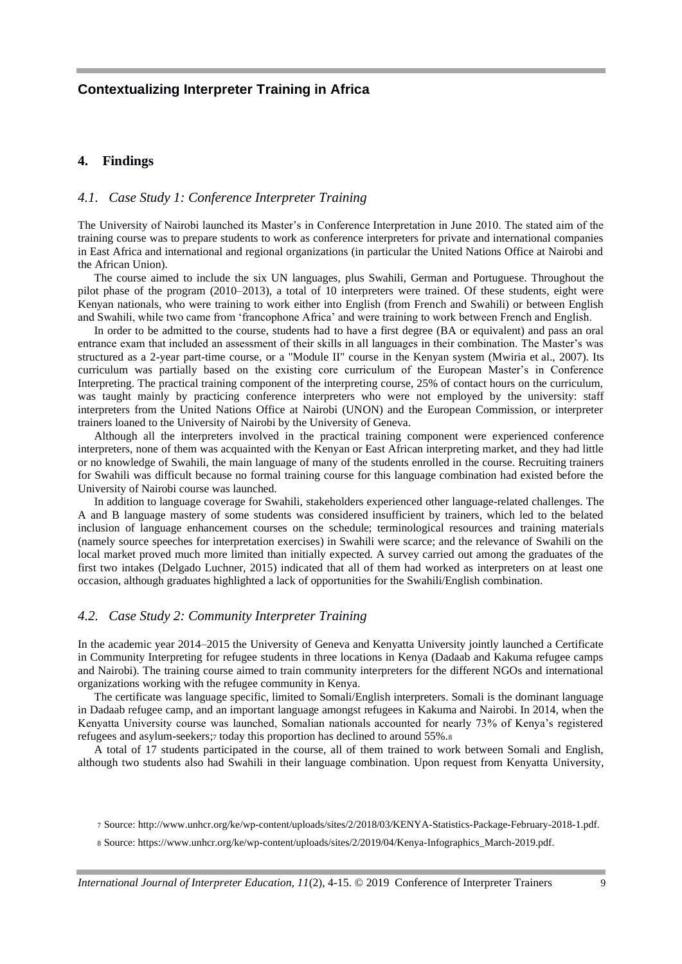#### **4. Findings**

#### *4.1. Case Study 1: Conference Interpreter Training*

The University of Nairobi launched its Master's in Conference Interpretation in June 2010. The stated aim of the training course was to prepare students to work as conference interpreters for private and international companies in East Africa and international and regional organizations (in particular the United Nations Office at Nairobi and the African Union).

The course aimed to include the six UN languages, plus Swahili, German and Portuguese. Throughout the pilot phase of the program (2010–2013), a total of 10 interpreters were trained. Of these students, eight were Kenyan nationals, who were training to work either into English (from French and Swahili) or between English and Swahili, while two came from 'francophone Africa' and were training to work between French and English.

In order to be admitted to the course, students had to have a first degree (BA or equivalent) and pass an oral entrance exam that included an assessment of their skills in all languages in their combination. The Master's was structured as a 2-year part-time course, or a "Module II" course in the Kenyan system (Mwiria et al., 2007). Its curriculum was partially based on the existing core curriculum of the European Master's in Conference Interpreting. The practical training component of the interpreting course, 25% of contact hours on the curriculum, was taught mainly by practicing conference interpreters who were not employed by the university: staff interpreters from the United Nations Office at Nairobi (UNON) and the European Commission, or interpreter trainers loaned to the University of Nairobi by the University of Geneva.

Although all the interpreters involved in the practical training component were experienced conference interpreters, none of them was acquainted with the Kenyan or East African interpreting market, and they had little or no knowledge of Swahili, the main language of many of the students enrolled in the course. Recruiting trainers for Swahili was difficult because no formal training course for this language combination had existed before the University of Nairobi course was launched.

In addition to language coverage for Swahili, stakeholders experienced other language-related challenges. The A and B language mastery of some students was considered insufficient by trainers, which led to the belated inclusion of language enhancement courses on the schedule; terminological resources and training materials (namely source speeches for interpretation exercises) in Swahili were scarce; and the relevance of Swahili on the local market proved much more limited than initially expected. A survey carried out among the graduates of the first two intakes (Delgado Luchner, 2015) indicated that all of them had worked as interpreters on at least one occasion, although graduates highlighted a lack of opportunities for the Swahili/English combination.

#### *4.2. Case Study 2: Community Interpreter Training*

In the academic year 2014–2015 the University of Geneva and Kenyatta University jointly launched a Certificate in Community Interpreting for refugee students in three locations in Kenya (Dadaab and Kakuma refugee camps and Nairobi). The training course aimed to train community interpreters for the different NGOs and international organizations working with the refugee community in Kenya.

The certificate was language specific, limited to Somali/English interpreters. Somali is the dominant language in Dadaab refugee camp, and an important language amongst refugees in Kakuma and Nairobi. In 2014, when the Kenyatta University course was launched, Somalian nationals accounted for nearly 73% of Kenya's registered refugees and asylum-seekers;7 today this proportion has declined to around 55%.8

A total of 17 students participated in the course, all of them trained to work between Somali and English, although two students also had Swahili in their language combination. Upon request from Kenyatta University,

<sup>7</sup> Source: http://www.unhcr.org/ke/wp-content/uploads/sites/2/2018/03/KENYA-Statistics-Package-February-2018-1.pdf.

<sup>8</sup> Source: https://www.unhcr.org/ke/wp-content/uploads/sites/2/2019/04/Kenya-Infographics\_March-2019.pdf.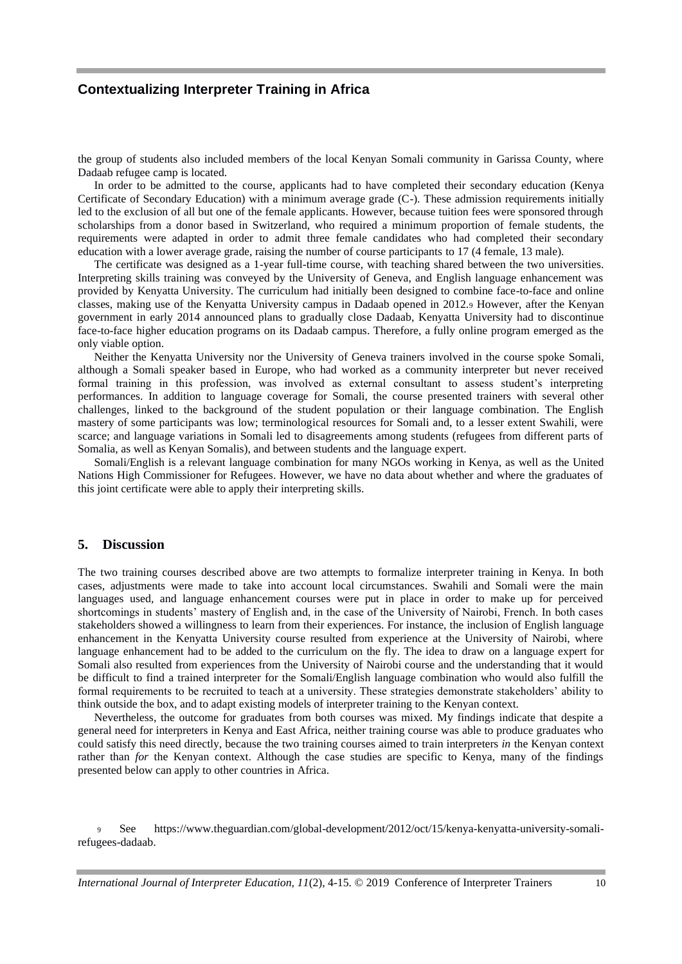the group of students also included members of the local Kenyan Somali community in Garissa County, where Dadaab refugee camp is located.

In order to be admitted to the course, applicants had to have completed their secondary education (Kenya Certificate of Secondary Education) with a minimum average grade (C-). These admission requirements initially led to the exclusion of all but one of the female applicants. However, because tuition fees were sponsored through scholarships from a donor based in Switzerland, who required a minimum proportion of female students, the requirements were adapted in order to admit three female candidates who had completed their secondary education with a lower average grade, raising the number of course participants to 17 (4 female, 13 male).

The certificate was designed as a 1-year full-time course, with teaching shared between the two universities. Interpreting skills training was conveyed by the University of Geneva, and English language enhancement was provided by Kenyatta University. The curriculum had initially been designed to combine face-to-face and online classes, making use of the Kenyatta University campus in Dadaab opened in 2012.<sup>9</sup> However, after the Kenyan government in early 2014 announced plans to gradually close Dadaab, Kenyatta University had to discontinue face-to-face higher education programs on its Dadaab campus. Therefore, a fully online program emerged as the only viable option.

Neither the Kenyatta University nor the University of Geneva trainers involved in the course spoke Somali, although a Somali speaker based in Europe, who had worked as a community interpreter but never received formal training in this profession, was involved as external consultant to assess student's interpreting performances. In addition to language coverage for Somali, the course presented trainers with several other challenges, linked to the background of the student population or their language combination. The English mastery of some participants was low; terminological resources for Somali and, to a lesser extent Swahili, were scarce; and language variations in Somali led to disagreements among students (refugees from different parts of Somalia, as well as Kenyan Somalis), and between students and the language expert.

Somali/English is a relevant language combination for many NGOs working in Kenya, as well as the United Nations High Commissioner for Refugees. However, we have no data about whether and where the graduates of this joint certificate were able to apply their interpreting skills.

#### **5. Discussion**

The two training courses described above are two attempts to formalize interpreter training in Kenya. In both cases, adjustments were made to take into account local circumstances. Swahili and Somali were the main languages used, and language enhancement courses were put in place in order to make up for perceived shortcomings in students' mastery of English and, in the case of the University of Nairobi, French. In both cases stakeholders showed a willingness to learn from their experiences. For instance, the inclusion of English language enhancement in the Kenyatta University course resulted from experience at the University of Nairobi, where language enhancement had to be added to the curriculum on the fly. The idea to draw on a language expert for Somali also resulted from experiences from the University of Nairobi course and the understanding that it would be difficult to find a trained interpreter for the Somali/English language combination who would also fulfill the formal requirements to be recruited to teach at a university. These strategies demonstrate stakeholders' ability to think outside the box, and to adapt existing models of interpreter training to the Kenyan context.

Nevertheless, the outcome for graduates from both courses was mixed. My findings indicate that despite a general need for interpreters in Kenya and East Africa, neither training course was able to produce graduates who could satisfy this need directly, because the two training courses aimed to train interpreters *in* the Kenyan context rather than *for* the Kenyan context. Although the case studies are specific to Kenya, many of the findings presented below can apply to other countries in Africa.

<sup>9</sup> See https://www.theguardian.com/global-development/2012/oct/15/kenya-kenyatta-university-somalirefugees-dadaab.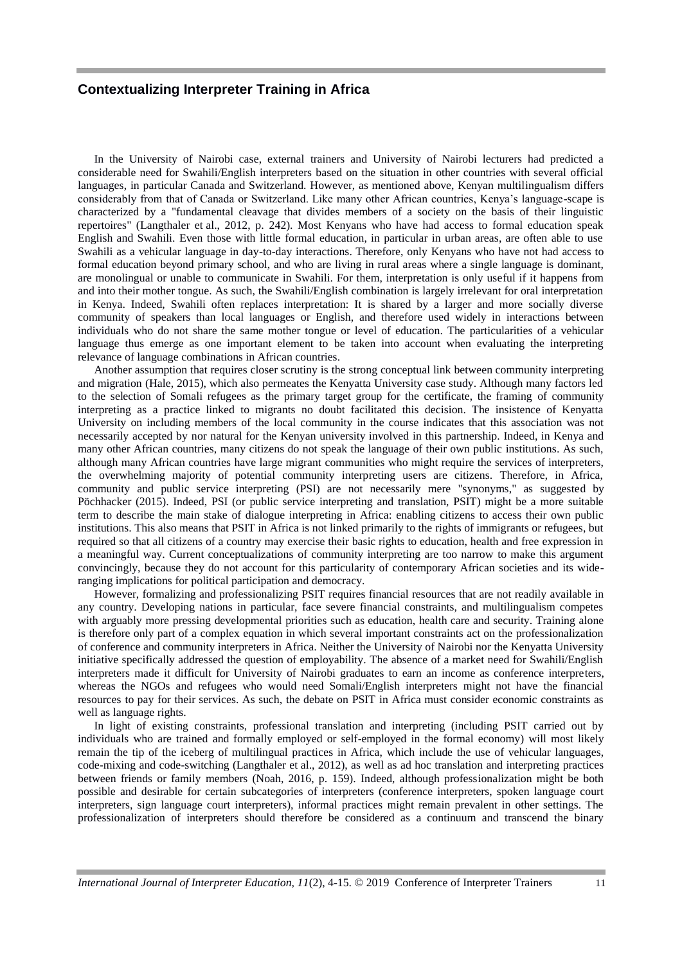In the University of Nairobi case, external trainers and University of Nairobi lecturers had predicted a considerable need for Swahili/English interpreters based on the situation in other countries with several official languages, in particular Canada and Switzerland. However, as mentioned above, Kenyan multilingualism differs considerably from that of Canada or Switzerland. Like many other African countries, Kenya's language-scape is characterized by a "fundamental cleavage that divides members of a society on the basis of their linguistic repertoires" (Langthaler et al., 2012, p. 242). Most Kenyans who have had access to formal education speak English and Swahili. Even those with little formal education, in particular in urban areas, are often able to use Swahili as a vehicular language in day-to-day interactions. Therefore, only Kenyans who have not had access to formal education beyond primary school, and who are living in rural areas where a single language is dominant, are monolingual or unable to communicate in Swahili. For them, interpretation is only useful if it happens from and into their mother tongue. As such, the Swahili/English combination is largely irrelevant for oral interpretation in Kenya. Indeed, Swahili often replaces interpretation: It is shared by a larger and more socially diverse community of speakers than local languages or English, and therefore used widely in interactions between individuals who do not share the same mother tongue or level of education. The particularities of a vehicular language thus emerge as one important element to be taken into account when evaluating the interpreting relevance of language combinations in African countries.

Another assumption that requires closer scrutiny is the strong conceptual link between community interpreting and migration (Hale, 2015), which also permeates the Kenyatta University case study. Although many factors led to the selection of Somali refugees as the primary target group for the certificate, the framing of community interpreting as a practice linked to migrants no doubt facilitated this decision. The insistence of Kenyatta University on including members of the local community in the course indicates that this association was not necessarily accepted by nor natural for the Kenyan university involved in this partnership. Indeed, in Kenya and many other African countries, many citizens do not speak the language of their own public institutions. As such, although many African countries have large migrant communities who might require the services of interpreters, the overwhelming majority of potential community interpreting users are citizens. Therefore, in Africa, community and public service interpreting (PSI) are not necessarily mere "synonyms," as suggested by Pöchhacker (2015). Indeed, PSI (or public service interpreting and translation, PSIT) might be a more suitable term to describe the main stake of dialogue interpreting in Africa: enabling citizens to access their own public institutions. This also means that PSIT in Africa is not linked primarily to the rights of immigrants or refugees, but required so that all citizens of a country may exercise their basic rights to education, health and free expression in a meaningful way. Current conceptualizations of community interpreting are too narrow to make this argument convincingly, because they do not account for this particularity of contemporary African societies and its wideranging implications for political participation and democracy.

However, formalizing and professionalizing PSIT requires financial resources that are not readily available in any country. Developing nations in particular, face severe financial constraints, and multilingualism competes with arguably more pressing developmental priorities such as education, health care and security. Training alone is therefore only part of a complex equation in which several important constraints act on the professionalization of conference and community interpreters in Africa. Neither the University of Nairobi nor the Kenyatta University initiative specifically addressed the question of employability. The absence of a market need for Swahili/English interpreters made it difficult for University of Nairobi graduates to earn an income as conference interpreters, whereas the NGOs and refugees who would need Somali/English interpreters might not have the financial resources to pay for their services. As such, the debate on PSIT in Africa must consider economic constraints as well as language rights.

In light of existing constraints, professional translation and interpreting (including PSIT carried out by individuals who are trained and formally employed or self-employed in the formal economy) will most likely remain the tip of the iceberg of multilingual practices in Africa, which include the use of vehicular languages, code-mixing and code-switching (Langthaler et al., 2012), as well as ad hoc translation and interpreting practices between friends or family members (Noah, 2016, p. 159). Indeed, although professionalization might be both possible and desirable for certain subcategories of interpreters (conference interpreters, spoken language court interpreters, sign language court interpreters), informal practices might remain prevalent in other settings. The professionalization of interpreters should therefore be considered as a continuum and transcend the binary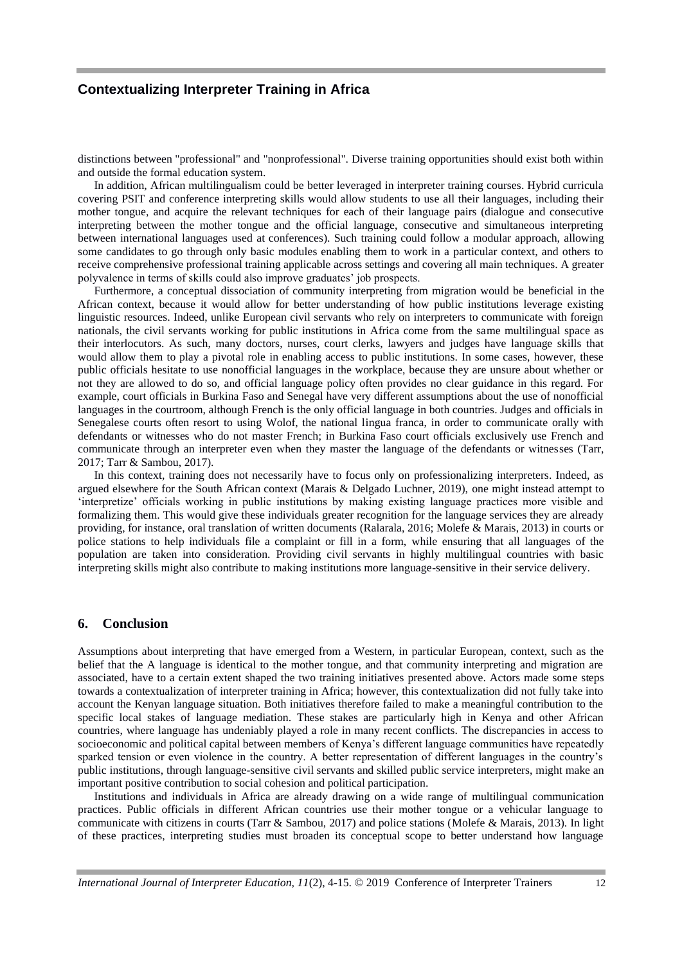distinctions between "professional" and "nonprofessional". Diverse training opportunities should exist both within and outside the formal education system.

In addition, African multilingualism could be better leveraged in interpreter training courses. Hybrid curricula covering PSIT and conference interpreting skills would allow students to use all their languages, including their mother tongue, and acquire the relevant techniques for each of their language pairs (dialogue and consecutive interpreting between the mother tongue and the official language, consecutive and simultaneous interpreting between international languages used at conferences). Such training could follow a modular approach, allowing some candidates to go through only basic modules enabling them to work in a particular context, and others to receive comprehensive professional training applicable across settings and covering all main techniques. A greater polyvalence in terms of skills could also improve graduates' job prospects.

Furthermore, a conceptual dissociation of community interpreting from migration would be beneficial in the African context, because it would allow for better understanding of how public institutions leverage existing linguistic resources. Indeed, unlike European civil servants who rely on interpreters to communicate with foreign nationals, the civil servants working for public institutions in Africa come from the same multilingual space as their interlocutors. As such, many doctors, nurses, court clerks, lawyers and judges have language skills that would allow them to play a pivotal role in enabling access to public institutions. In some cases, however, these public officials hesitate to use nonofficial languages in the workplace, because they are unsure about whether or not they are allowed to do so, and official language policy often provides no clear guidance in this regard. For example, court officials in Burkina Faso and Senegal have very different assumptions about the use of nonofficial languages in the courtroom, although French is the only official language in both countries. Judges and officials in Senegalese courts often resort to using Wolof, the national lingua franca, in order to communicate orally with defendants or witnesses who do not master French; in Burkina Faso court officials exclusively use French and communicate through an interpreter even when they master the language of the defendants or witnesses (Tarr, 2017; Tarr & Sambou, 2017).

In this context, training does not necessarily have to focus only on professionalizing interpreters. Indeed, as argued elsewhere for the South African context (Marais & Delgado Luchner, 2019), one might instead attempt to 'interpretize' officials working in public institutions by making existing language practices more visible and formalizing them. This would give these individuals greater recognition for the language services they are already providing, for instance, oral translation of written documents (Ralarala, 2016; Molefe & Marais, 2013) in courts or police stations to help individuals file a complaint or fill in a form, while ensuring that all languages of the population are taken into consideration. Providing civil servants in highly multilingual countries with basic interpreting skills might also contribute to making institutions more language-sensitive in their service delivery.

#### **6. Conclusion**

Assumptions about interpreting that have emerged from a Western, in particular European, context, such as the belief that the A language is identical to the mother tongue, and that community interpreting and migration are associated, have to a certain extent shaped the two training initiatives presented above. Actors made some steps towards a contextualization of interpreter training in Africa; however, this contextualization did not fully take into account the Kenyan language situation. Both initiatives therefore failed to make a meaningful contribution to the specific local stakes of language mediation. These stakes are particularly high in Kenya and other African countries, where language has undeniably played a role in many recent conflicts. The discrepancies in access to socioeconomic and political capital between members of Kenya's different language communities have repeatedly sparked tension or even violence in the country. A better representation of different languages in the country's public institutions, through language-sensitive civil servants and skilled public service interpreters, might make an important positive contribution to social cohesion and political participation.

Institutions and individuals in Africa are already drawing on a wide range of multilingual communication practices. Public officials in different African countries use their mother tongue or a vehicular language to communicate with citizens in courts (Tarr & Sambou, 2017) and police stations (Molefe & Marais, 2013). In light of these practices, interpreting studies must broaden its conceptual scope to better understand how language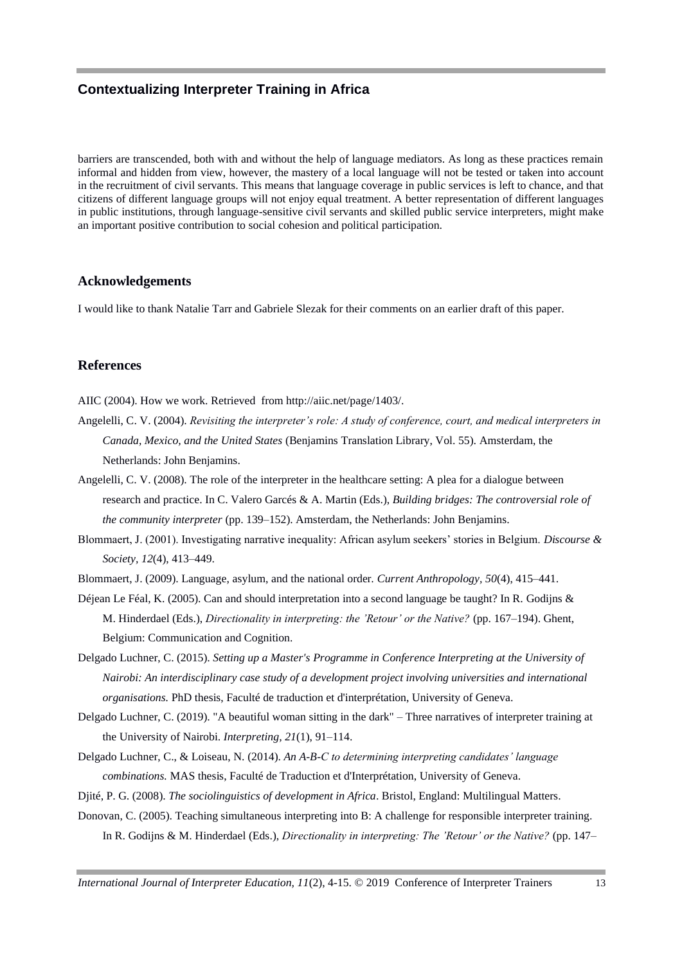barriers are transcended, both with and without the help of language mediators. As long as these practices remain informal and hidden from view, however, the mastery of a local language will not be tested or taken into account in the recruitment of civil servants. This means that language coverage in public services is left to chance, and that citizens of different language groups will not enjoy equal treatment. A better representation of different languages in public institutions, through language-sensitive civil servants and skilled public service interpreters, might make an important positive contribution to social cohesion and political participation.

#### **Acknowledgements**

I would like to thank Natalie Tarr and Gabriele Slezak for their comments on an earlier draft of this paper.

#### **References**

AIIC (2004). How we work. Retrieved from http://aiic.net/page/1403/.

- Angelelli, C. V. (2004). *Revisiting the interpreter's role: A study of conference, court, and medical interpreters in Canada, Mexico, and the United States* (Benjamins Translation Library, Vol. 55). Amsterdam, the Netherlands: John Benjamins.
- Angelelli, C. V. (2008). The role of the interpreter in the healthcare setting: A plea for a dialogue between research and practice. In C. Valero Garcés & A. Martin (Eds.), *Building bridges: The controversial role of the community interpreter* (pp. 139–152). Amsterdam, the Netherlands: John Benjamins.
- Blommaert, J. (2001). Investigating narrative inequality: African asylum seekers' stories in Belgium. *Discourse & Society, 12*(4), 413–449.
- Blommaert, J. (2009). Language, asylum, and the national order. *Current Anthropology, 50*(4), 415–441.
- Déjean Le Féal, K. (2005). Can and should interpretation into a second language be taught? In R. Godijns & M. Hinderdael (Eds.), *Directionality in interpreting: the 'Retour' or the Native?* (pp. 167–194). Ghent, Belgium: Communication and Cognition.
- Delgado Luchner, C. (2015). *Setting up a Master's Programme in Conference Interpreting at the University of Nairobi: An interdisciplinary case study of a development project involving universities and international organisations.* PhD thesis, Faculté de traduction et d'interprétation, University of Geneva.
- Delgado Luchner, C. (2019). "A beautiful woman sitting in the dark" Three narratives of interpreter training at the University of Nairobi. *Interpreting, 21*(1), 91–114.
- Delgado Luchner, C., & Loiseau, N. (2014). *An A-B-C to determining interpreting candidates' language combinations.* MAS thesis, Faculté de Traduction et d'Interprétation, University of Geneva.
- Djité, P. G. (2008). *The sociolinguistics of development in Africa*. Bristol, England: Multilingual Matters.
- Donovan, C. (2005). Teaching simultaneous interpreting into B: A challenge for responsible interpreter training. In R. Godijns & M. Hinderdael (Eds.), *Directionality in interpreting: The 'Retour' or the Native?* (pp. 147–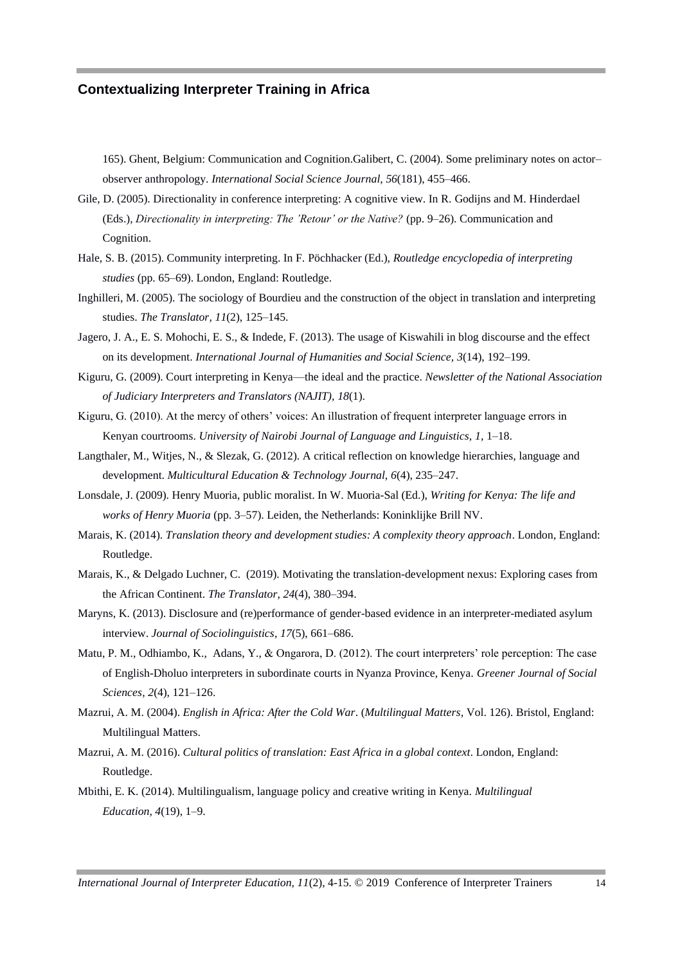165). Ghent, Belgium: Communication and Cognition.Galibert, C. (2004). Some preliminary notes on actor– observer anthropology. *International Social Science Journal, 56*(181), 455–466.

Gile, D. (2005). Directionality in conference interpreting: A cognitive view. In R. Godijns and M. Hinderdael (Eds.), *Directionality in interpreting: The 'Retour' or the Native?* (pp. 9–26). Communication and Cognition.

- Hale, S. B. (2015). Community interpreting. In F. Pöchhacker (Ed.), *Routledge encyclopedia of interpreting studies* (pp. 65–69). London, England: Routledge.
- Inghilleri, M. (2005). The sociology of Bourdieu and the construction of the object in translation and interpreting studies. *The Translator, 11*(2), 125–145.
- Jagero, J. A., E. S. Mohochi, E. S., & Indede, F. (2013). The usage of Kiswahili in blog discourse and the effect on its development. *International Journal of Humanities and Social Science, 3*(14), 192–199.
- Kiguru, G. (2009). Court interpreting in Kenya—the ideal and the practice. *Newsletter of the National Association of Judiciary Interpreters and Translators (NAJIT), 18*(1).
- Kiguru, G. (2010). At the mercy of others' voices: An illustration of frequent interpreter language errors in Kenyan courtrooms. *University of Nairobi Journal of Language and Linguistics, 1,* 1–18.
- Langthaler, M., Witjes, N., & Slezak, G. (2012). A critical reflection on knowledge hierarchies, language and development. *Multicultural Education & Technology Journal, 6*(4), 235–247.
- Lonsdale, J. (2009). Henry Muoria, public moralist. In W. Muoria-Sal (Ed.), *Writing for Kenya: The life and works of Henry Muoria* (pp. 3–57). Leiden, the Netherlands: Koninklijke Brill NV.
- Marais, K. (2014). *Translation theory and development studies: A complexity theory approach*. London, England: Routledge.
- Marais, K., & Delgado Luchner, C. (2019). Motivating the translation-development nexus: Exploring cases from the African Continent. *The Translator, 24*(4), 380–394.
- Maryns, K. (2013). Disclosure and (re)performance of gender-based evidence in an interpreter-mediated asylum interview. *Journal of Sociolinguistics, 17*(5), 661–686.
- Matu, P. M., Odhiambo, K., Adans, Y., & Ongarora, D. (2012). The court interpreters' role perception: The case of English-Dholuo interpreters in subordinate courts in Nyanza Province, Kenya. *Greener Journal of Social Sciences, 2*(4), 121–126.
- Mazrui, A. M. (2004). *English in Africa: After the Cold War*. (*Multilingual Matters,* Vol. 126). Bristol, England: Multilingual Matters.
- Mazrui, A. M. (2016). *Cultural politics of translation: East Africa in a global context*. London, England: Routledge.
- Mbithi, E. K. (2014). Multilingualism, language policy and creative writing in Kenya. *Multilingual Education, 4*(19), 1–9.

*International Journal of Interpreter Education, 11*(2), 4-15. © 2019 Conference of Interpreter Trainers 14